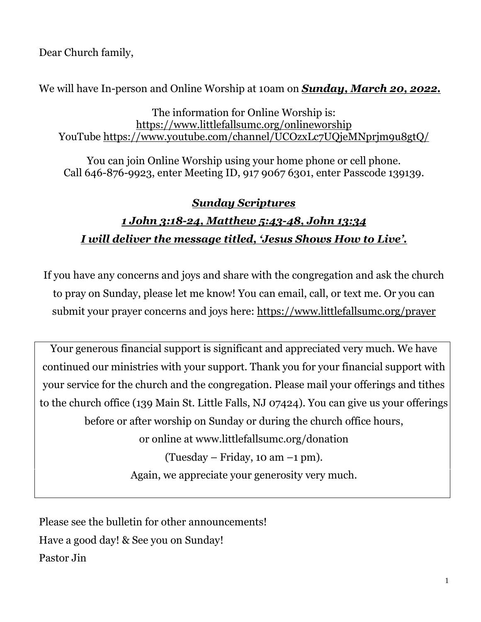Dear Church family,

We will have In-person and Online Worship at 10am on *Sunday, March 20, 2022.*

The information for Online Worship is: <https://www.littlefallsumc.org/onlineworship> YouTube<https://www.youtube.com/channel/UCOzxLc7UQjeMNprjm9u8gtQ/>

You can join Online Worship using your home phone or cell phone. Call 646-876-9923, enter Meeting ID, 917 9067 6301, enter Passcode 139139.

# *Sunday Scriptures*

# *1 John 3:18-24, Matthew 5:43-48, John 13:34 I will deliver the message titled, 'Jesus Shows How to Live'.*

If you have any concerns and joys and share with the congregation and ask the church to pray on Sunday, please let me know! You can email, call, or text me. Or you can submit your prayer concerns and joys here: <https://www.littlefallsumc.org/prayer>

Your generous financial support is significant and appreciated very much. We have continued our ministries with your support. Thank you for your financial support with your service for the church and the congregation. Please mail your offerings and tithes to the church office (139 Main St. Little Falls, NJ 07424). You can give us your offerings before or after worship on Sunday or during the church office hours, or online at www.littlefallsumc.org/donation  $(Tuesday - Friday, 10 am -1 pm)$ . Again, we appreciate your generosity very much.

Please see the bulletin for other announcements! Have a good day! & See you on Sunday! Pastor Jin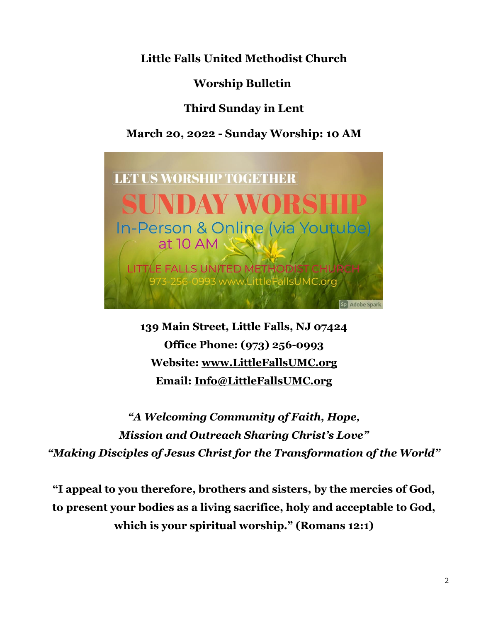**Little Falls United Methodist Church**

**Worship Bulletin**

# **Third Sunday in Lent**

# **March 20, 2022 - Sunday Worship: 10 AM**



**139 Main Street, Little Falls, NJ 07424 Office Phone: (973) 256-0993 Website: [www.LittleFallsUMC.org](http://www.littlefallsumc.org/) Email: [Info@LittleFallsUMC.org](mailto:Info@LittleFallsUMC.org)**

*"A Welcoming Community of Faith, Hope, Mission and Outreach Sharing Christ's Love" "Making Disciples of Jesus Christ for the Transformation of the World"*

**"I appeal to you therefore, brothers and sisters, by the mercies of God, to present your bodies as a living sacrifice, holy and acceptable to God, which is your spiritual worship." (Romans 12:1)**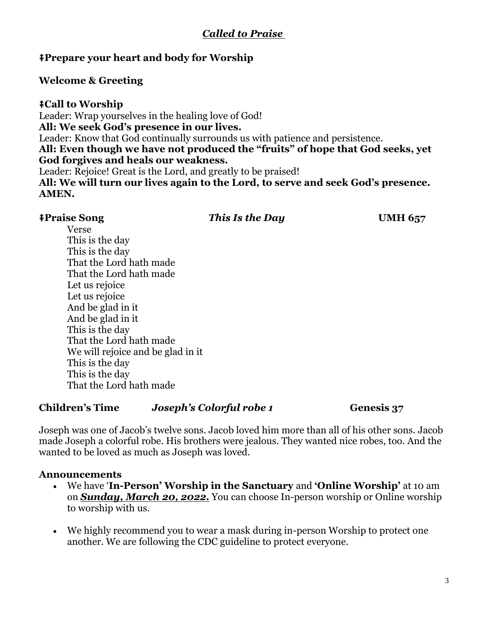# *Called to Praise*

### ⭻**Prepare your heart and body for Worship**

#### **Welcome & Greeting**

#### ⭻**Call to Worship**

Leader: Wrap yourselves in the healing love of God! **All: We seek God's presence in our lives.** Leader: Know that God continually surrounds us with patience and persistence. **All: Even though we have not produced the "fruits" of hope that God seeks, yet God forgives and heals our weakness.** Leader: Rejoice! Great is the Lord, and greatly to be praised! **All: We will turn our lives again to the Lord, to serve and seek God's presence. AMEN.**

#### ⭻**Praise Song** *This Is the Day* **UMH 657**

Verse This is the day This is the day That the Lord hath made That the Lord hath made Let us rejoice Let us rejoice And be glad in it And be glad in it This is the day That the Lord hath made We will rejoice and be glad in it This is the day This is the day That the Lord hath made

# **Children's Time** *Joseph's Colorful robe 1* **Genesis 37**

Joseph was one of Jacob's twelve sons. Jacob loved him more than all of his other sons. Jacob made Joseph a colorful robe. His brothers were jealous. They wanted nice robes, too. And the wanted to be loved as much as Joseph was loved.

#### **Announcements**

- We have '**In-Person' Worship in the Sanctuary** and **'Online Worship'** at 10 am on *Sunday, March 20, 2022.* You can choose In-person worship or Online worship to worship with us.
- We highly recommend you to wear a mask during in-person Worship to protect one another. We are following the CDC guideline to protect everyone.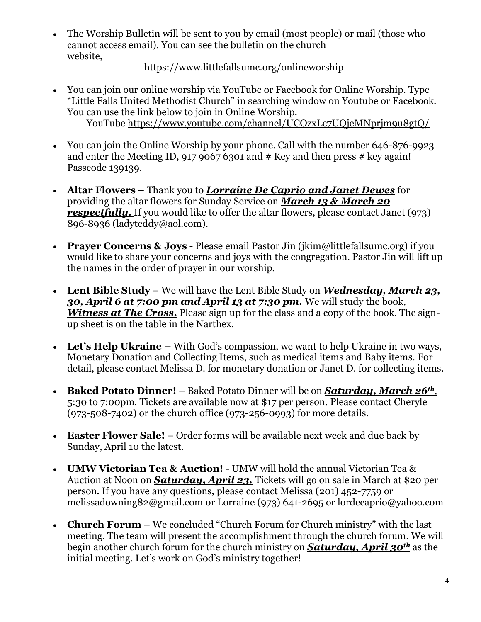• The Worship Bulletin will be sent to you by email (most people) or mail (those who cannot access email). You can see the bulletin on the church website,

#### <https://www.littlefallsumc.org/onlineworship>

- You can join our online worship via YouTube or Facebook for Online Worship. Type "Little Falls United Methodist Church" in searching window on Youtube or Facebook. You can use the link below to join in Online Worship. YouTube<https://www.youtube.com/channel/UCOzxLc7UQjeMNprjm9u8gtQ/>
- You can join the Online Worship by your phone. Call with the number 646-876-9923 and enter the Meeting ID, 917 9067 6301 and  $#$  Key and then press  $#$  key again! Passcode 139139.
- **Altar Flowers** Thank you to *Lorraine De Caprio and Janet Dewes* for providing the altar flowers for Sunday Service on *March 13 & March 20 respectfully.* If you would like to offer the altar flowers, please contact Janet (973) 896-8936 [\(ladyteddy@aol.com\)](mailto:ladyteddy@aol.com).
- **Prayer Concerns & Joys** Please email Pastor Jin (jkim@littlefallsumc.org) if you would like to share your concerns and joys with the congregation. Pastor Jin will lift up the names in the order of prayer in our worship.
- **Lent Bible Study** We will have the Lent Bible Study on *Wednesday, March 23, 30, April 6 at 7:00 pm and April 13 at 7:30 pm.* We will study the book, *Witness at The Cross***.** Please sign up for the class and a copy of the book. The signup sheet is on the table in the Narthex.
- Let's Help Ukraine With God's compassion, we want to help Ukraine in two ways, Monetary Donation and Collecting Items, such as medical items and Baby items. For detail, please contact Melissa D. for monetary donation or Janet D. for collecting items.
- **Baked Potato Dinner!** Baked Potato Dinner will be on *Saturday, March 26th*, 5:30 to 7:00pm. Tickets are available now at \$17 per person. Please contact Cheryle  $(973-508-7402)$  or the church office  $(973-256-0993)$  for more details.
- **Easter Flower Sale!** Order forms will be available next week and due back by Sunday, April 10 the latest.
- **UMW Victorian Tea & Auction!** UMW will hold the annual Victorian Tea & Auction at Noon on *Saturday, April 23.* Tickets will go on sale in March at \$20 per person. If you have any questions, please contact Melissa (201) 452-7759 or [melissadowning82@gmail.com](mailto:melissadowning82@gmail.com) or Lorraine (973) 641-2695 or [lordecaprio@yahoo.com](mailto:lordecaprio@yahoo.com)
- **Church Forum** We concluded "Church Forum for Church ministry" with the last meeting. The team will present the accomplishment through the church forum. We will begin another church forum for the church ministry on *Saturday, April 30th* as the initial meeting. Let's work on God's ministry together!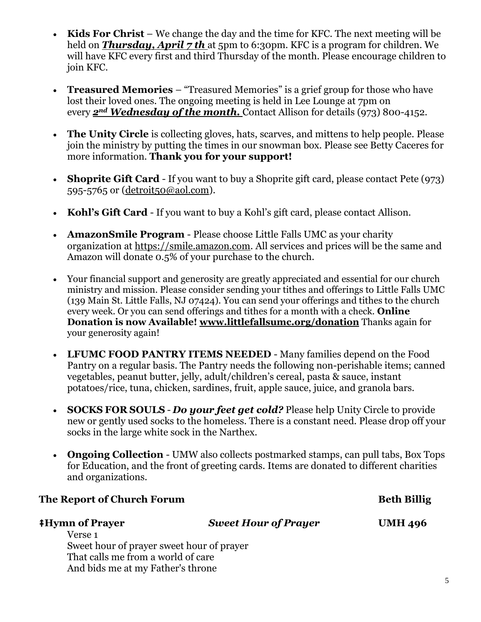- **Kids For Christ** We change the day and the time for KFC. The next meeting will be held on **Thursday, April 7 th** at 5pm to 6:30pm. KFC is a program for children. We will have KFC every first and third Thursday of the month. Please encourage children to join KFC.
- **Treasured Memories**  "Treasured Memories" is a grief group for those who have lost their loved ones. The ongoing meeting is held in Lee Lounge at 7pm on every *2nd Wednesday of the month.* Contact Allison for details (973) 800-4152.
- **The Unity Circle** is collecting gloves, hats, scarves, and mittens to help people. Please join the ministry by putting the times in our snowman box. Please see Betty Caceres for more information. **Thank you for your support!**
- **Shoprite Gift Card** If you want to buy a Shoprite gift card, please contact Pete (973) 595-5765 or [\(detroit50@aol.com\)](mailto:detroit50@aol.com).
- **Kohl's Gift Card** If you want to buy a Kohl's gift card, please contact Allison.
- **AmazonSmile Program**  Please choose Little Falls UMC as your charity organization at https://smile.amazon.com. All services and prices will be the same and Amazon will donate 0.5% of your purchase to the church.
- Your financial support and generosity are greatly appreciated and essential for our church ministry and mission. Please consider sending your tithes and offerings to Little Falls UMC (139 Main St. Little Falls, NJ 07424). You can send your offerings and tithes to the church every week. Or you can send offerings and tithes for a month with a check. **Online Donation is now Available! [www.littlefallsumc.org/donation](https://www.littlefallsumc.org/donation)** Thanks again for your generosity again!
- **LFUMC FOOD PANTRY ITEMS NEEDED** Many families depend on the Food Pantry on a regular basis. The Pantry needs the following non-perishable items; canned vegetables, peanut butter, jelly, adult/children's cereal, pasta & sauce, instant potatoes/rice, tuna, chicken, sardines, fruit, apple sauce, juice, and granola bars.
- **SOCKS FOR SOULS** *Do your feet get cold?* Please help Unity Circle to provide new or gently used socks to the homeless. There is a constant need. Please drop off your socks in the large white sock in the Narthex.
- **Ongoing Collection** UMW also collects postmarked stamps, can pull tabs, Box Tops for Education, and the front of greeting cards. Items are donated to different charities and organizations.

| The Report of Church Forum                |                             | <b>Beth Billig</b> |
|-------------------------------------------|-----------------------------|--------------------|
| <b>‡Hymn of Prayer</b>                    | <b>Sweet Hour of Prayer</b> | <b>UMH 496</b>     |
| Verse 1                                   |                             |                    |
| Sweet hour of prayer sweet hour of prayer |                             |                    |
| That calls me from a world of care        |                             |                    |
| And bids me at my Father's throne         |                             |                    |
|                                           |                             |                    |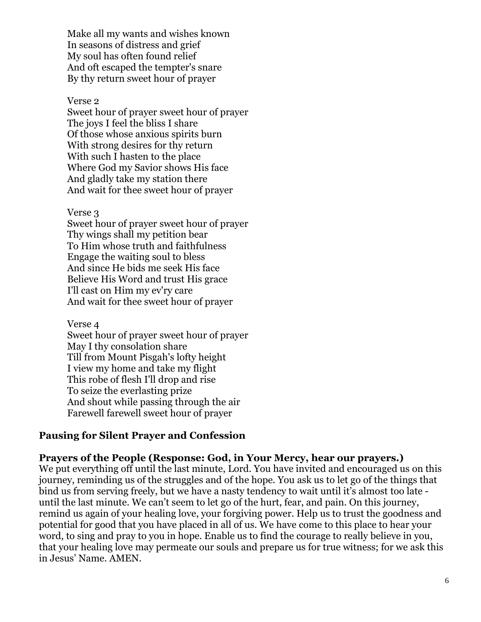Make all my wants and wishes known In seasons of distress and grief My soul has often found relief And oft escaped the tempter's snare By thy return sweet hour of prayer

#### Verse 2

Sweet hour of prayer sweet hour of prayer The joys I feel the bliss I share Of those whose anxious spirits burn With strong desires for thy return With such I hasten to the place Where God my Savior shows His face And gladly take my station there And wait for thee sweet hour of prayer

#### Verse 3

Sweet hour of prayer sweet hour of prayer Thy wings shall my petition bear To Him whose truth and faithfulness Engage the waiting soul to bless And since He bids me seek His face Believe His Word and trust His grace I'll cast on Him my ev'ry care And wait for thee sweet hour of prayer

Verse 4

Sweet hour of prayer sweet hour of prayer May I thy consolation share Till from Mount Pisgah's lofty height I view my home and take my flight This robe of flesh I'll drop and rise To seize the everlasting prize And shout while passing through the air Farewell farewell sweet hour of prayer

#### **Pausing for Silent Prayer and Confession**

#### **Prayers of the People (Response: God, in Your Mercy, hear our prayers.)**

We put everything off until the last minute, Lord. You have invited and encouraged us on this journey, reminding us of the struggles and of the hope. You ask us to let go of the things that bind us from serving freely, but we have a nasty tendency to wait until it's almost too late until the last minute. We can't seem to let go of the hurt, fear, and pain. On this journey, remind us again of your healing love, your forgiving power. Help us to trust the goodness and potential for good that you have placed in all of us. We have come to this place to hear your word, to sing and pray to you in hope. Enable us to find the courage to really believe in you, that your healing love may permeate our souls and prepare us for true witness; for we ask this in Jesus' Name. AMEN.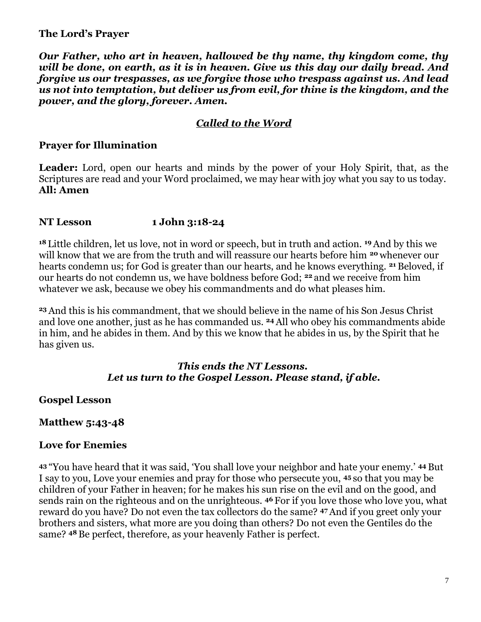### **The Lord's Prayer**

*Our Father, who art in heaven, hallowed be thy name, thy kingdom come, thy will be done, on earth, as it is in heaven. Give us this day our daily bread. And forgive us our trespasses, as we forgive those who trespass against us. And lead us not into temptation, but deliver us from evil, for thine is the kingdom, and the power, and the glory, forever. Amen.*

## *Called to the Word*

#### **Prayer for Illumination**

Leader: Lord, open our hearts and minds by the power of your Holy Spirit, that, as the Scriptures are read and your Word proclaimed, we may hear with joy what you say to us today. **All: Amen**

#### **NT Lesson 1 John 3:18-24**

**<sup>18</sup>** Little children, let us love, not in word or speech, but in truth and action. **<sup>19</sup>**And by this we will know that we are from the truth and will reassure our hearts before him **<sup>20</sup>** whenever our hearts condemn us; for God is greater than our hearts, and he knows everything. **<sup>21</sup>** Beloved, if our hearts do not condemn us, we have boldness before God; **<sup>22</sup>** and we receive from him whatever we ask, because we obey his commandments and do what pleases him.

**<sup>23</sup>**And this is his commandment, that we should believe in the name of his Son Jesus Christ and love one another, just as he has commanded us. **<sup>24</sup>** All who obey his commandments abide in him, and he abides in them. And by this we know that he abides in us, by the Spirit that he has given us.

#### *This ends the NT Lessons. Let us turn to the Gospel Lesson. Please stand, if able.*

#### **Gospel Lesson**

### **Matthew 5:43-48**

### **Love for Enemies**

**<sup>43</sup>** "You have heard that it was said, 'You shall love your neighbor and hate your enemy.' **<sup>44</sup>** But I say to you, Love your enemies and pray for those who persecute you, **<sup>45</sup>** so that you may be children of your Father in heaven; for he makes his sun rise on the evil and on the good, and sends rain on the righteous and on the unrighteous. **<sup>46</sup>** For if you love those who love you, what reward do you have? Do not even the tax collectors do the same? **<sup>47</sup>**And if you greet only your brothers and sisters, what more are you doing than others? Do not even the Gentiles do the same? **<sup>48</sup>** Be perfect, therefore, as your heavenly Father is perfect.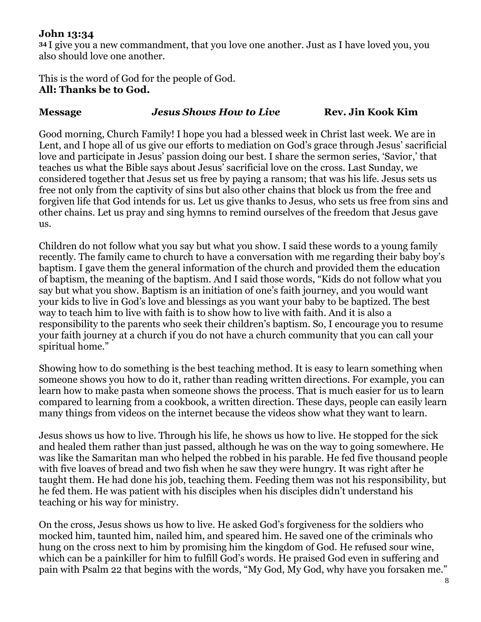## **John 13:34**

**<sup>34</sup>** I give you a new commandment, that you love one another. Just as I have loved you, you also should love one another.

This is the word of God for the people of God. **All: Thanks be to God.**

#### **Message** *Jesus Shows How to Live* **Rev. Jin Kook Kim**

Good morning, Church Family! I hope you had a blessed week in Christ last week. We are in Lent, and I hope all of us give our efforts to mediation on God's grace through Jesus' sacrificial love and participate in Jesus' passion doing our best. I share the sermon series, 'Savior,' that teaches us what the Bible says about Jesus' sacrificial love on the cross. Last Sunday, we considered together that Jesus set us free by paying a ransom; that was his life. Jesus sets us free not only from the captivity of sins but also other chains that block us from the free and forgiven life that God intends for us. Let us give thanks to Jesus, who sets us free from sins and other chains. Let us pray and sing hymns to remind ourselves of the freedom that Jesus gave us.

Children do not follow what you say but what you show. I said these words to a young family recently. The family came to church to have a conversation with me regarding their baby boy's baptism. I gave them the general information of the church and provided them the education of baptism, the meaning of the baptism. And I said those words, "Kids do not follow what you say but what you show. Baptism is an initiation of one's faith journey, and you would want your kids to live in God's love and blessings as you want your baby to be baptized. The best way to teach him to live with faith is to show how to live with faith. And it is also a responsibility to the parents who seek their children's baptism. So, I encourage you to resume your faith journey at a church if you do not have a church community that you can call your spiritual home."

Showing how to do something is the best teaching method. It is easy to learn something when someone shows you how to do it, rather than reading written directions. For example, you can learn how to make pasta when someone shows the process. That is much easier for us to learn compared to learning from a cookbook, a written direction. These days, people can easily learn many things from videos on the internet because the videos show what they want to learn.

Jesus shows us how to live. Through his life, he shows us how to live. He stopped for the sick and healed them rather than just passed, although he was on the way to going somewhere. He was like the Samaritan man who helped the robbed in his parable. He fed five thousand people with five loaves of bread and two fish when he saw they were hungry. It was right after he taught them. He had done his job, teaching them. Feeding them was not his responsibility, but he fed them. He was patient with his disciples when his disciples didn't understand his teaching or his way for ministry.

On the cross, Jesus shows us how to live. He asked God's forgiveness for the soldiers who mocked him, taunted him, nailed him, and speared him. He saved one of the criminals who hung on the cross next to him by promising him the kingdom of God. He refused sour wine, which can be a painkiller for him to fulfill God's words. He praised God even in suffering and pain with Psalm 22 that begins with the words, "My God, My God, why have you forsaken me."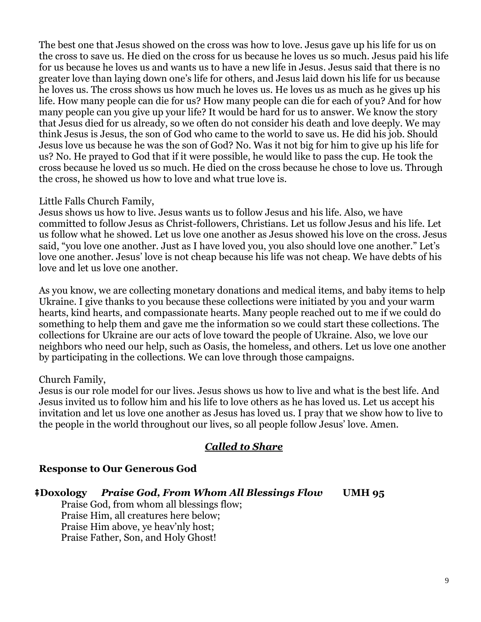The best one that Jesus showed on the cross was how to love. Jesus gave up his life for us on the cross to save us. He died on the cross for us because he loves us so much. Jesus paid his life for us because he loves us and wants us to have a new life in Jesus. Jesus said that there is no greater love than laying down one's life for others, and Jesus laid down his life for us because he loves us. The cross shows us how much he loves us. He loves us as much as he gives up his life. How many people can die for us? How many people can die for each of you? And for how many people can you give up your life? It would be hard for us to answer. We know the story that Jesus died for us already, so we often do not consider his death and love deeply. We may think Jesus is Jesus, the son of God who came to the world to save us. He did his job. Should Jesus love us because he was the son of God? No. Was it not big for him to give up his life for us? No. He prayed to God that if it were possible, he would like to pass the cup. He took the cross because he loved us so much. He died on the cross because he chose to love us. Through the cross, he showed us how to love and what true love is.

#### Little Falls Church Family,

Jesus shows us how to live. Jesus wants us to follow Jesus and his life. Also, we have committed to follow Jesus as Christ-followers, Christians. Let us follow Jesus and his life. Let us follow what he showed. Let us love one another as Jesus showed his love on the cross. Jesus said, "you love one another. Just as I have loved you, you also should love one another." Let's love one another. Jesus' love is not cheap because his life was not cheap. We have debts of his love and let us love one another.

As you know, we are collecting monetary donations and medical items, and baby items to help Ukraine. I give thanks to you because these collections were initiated by you and your warm hearts, kind hearts, and compassionate hearts. Many people reached out to me if we could do something to help them and gave me the information so we could start these collections. The collections for Ukraine are our acts of love toward the people of Ukraine. Also, we love our neighbors who need our help, such as Oasis, the homeless, and others. Let us love one another by participating in the collections. We can love through those campaigns.

### Church Family,

Jesus is our role model for our lives. Jesus shows us how to live and what is the best life. And Jesus invited us to follow him and his life to love others as he has loved us. Let us accept his invitation and let us love one another as Jesus has loved us. I pray that we show how to live to the people in the world throughout our lives, so all people follow Jesus' love. Amen.

# *Called to Share*

### **Response to Our Generous God**

### ⭻**Doxology** *Praise God, From Whom All Blessings Flow* **UMH 95**

Praise God, from whom all blessings flow; Praise Him, all creatures here below; Praise Him above, ye heav'nly host; Praise Father, Son, and Holy Ghost!